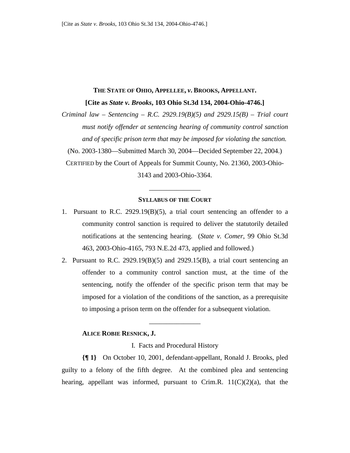# **THE STATE OF OHIO, APPELLEE,** *v***. BROOKS, APPELLANT. [Cite as** *State v. Brooks***, 103 Ohio St.3d 134, 2004-Ohio-4746.]**

*Criminal law – Sentencing – R.C. 2929.19(B)(5) and 2929.15(B) – Trial court must notify offender at sentencing hearing of community control sanction and of specific prison term that may be imposed for violating the sanction.*  (No. 2003-1380—Submitted March 30, 2004—Decided September 22, 2004.) CERTIFIED by the Court of Appeals for Summit County, No. 21360, 2003-Ohio-

3143 and 2003-Ohio-3364.

\_\_\_\_\_\_\_\_\_\_\_\_\_\_\_

# **SYLLABUS OF THE COURT**

- 1. Pursuant to R.C. 2929.19(B)(5), a trial court sentencing an offender to a community control sanction is required to deliver the statutorily detailed notifications at the sentencing hearing. (*State v. Comer*, 99 Ohio St.3d 463, 2003-Ohio-4165, 793 N.E.2d 473, applied and followed.)
- 2. Pursuant to R.C. 2929.19(B)(5) and 2929.15(B), a trial court sentencing an offender to a community control sanction must, at the time of the sentencing, notify the offender of the specific prison term that may be imposed for a violation of the conditions of the sanction, as a prerequisite to imposing a prison term on the offender for a subsequent violation.

### **ALICE ROBIE RESNICK, J.**

I. Facts and Procedural History

\_\_\_\_\_\_\_\_\_\_\_\_\_\_\_

**{¶ 1}** On October 10, 2001, defendant-appellant, Ronald J. Brooks, pled guilty to a felony of the fifth degree. At the combined plea and sentencing hearing, appellant was informed, pursuant to Crim.R.  $11(C)(2)(a)$ , that the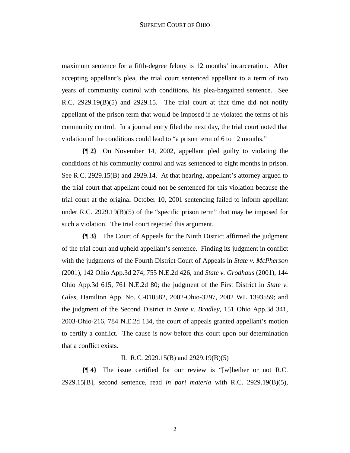maximum sentence for a fifth-degree felony is 12 months' incarceration. After accepting appellant's plea, the trial court sentenced appellant to a term of two years of community control with conditions, his plea-bargained sentence. See R.C.  $2929.19(B)(5)$  and  $2929.15$ . The trial court at that time did not notify appellant of the prison term that would be imposed if he violated the terms of his community control. In a journal entry filed the next day, the trial court noted that violation of the conditions could lead to "a prison term of 6 to 12 months."

**{¶ 2}** On November 14, 2002, appellant pled guilty to violating the conditions of his community control and was sentenced to eight months in prison. See R.C. 2929.15(B) and 2929.14. At that hearing, appellant's attorney argued to the trial court that appellant could not be sentenced for this violation because the trial court at the original October 10, 2001 sentencing failed to inform appellant under R.C. 2929.19(B)(5) of the "specific prison term" that may be imposed for such a violation. The trial court rejected this argument.

**{¶ 3}** The Court of Appeals for the Ninth District affirmed the judgment of the trial court and upheld appellant's sentence. Finding its judgment in conflict with the judgments of the Fourth District Court of Appeals in *State v. McPherson* (2001), 142 Ohio App.3d 274, 755 N.E.2d 426, and *State v. Grodhaus* (2001), 144 Ohio App.3d 615, 761 N.E.2d 80; the judgment of the First District in *State v. Giles*, Hamilton App. No. C-010582, 2002-Ohio-3297, 2002 WL 1393559; and the judgment of the Second District in *State v. Bradley*, 151 Ohio App.3d 341, 2003-Ohio-216, 784 N.E.2d 134, the court of appeals granted appellant's motion to certify a conflict. The cause is now before this court upon our determination that a conflict exists.

#### II. R.C. 2929.15(B) and 2929.19(B)(5)

**{¶ 4}** The issue certified for our review is "[w]hether or not R.C. 2929.15[B], second sentence, read *in pari materia* with R.C. 2929.19(B)(5),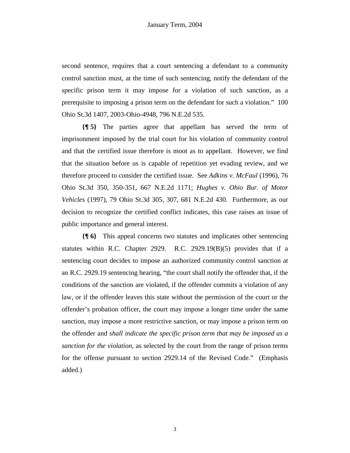second sentence, requires that a court sentencing a defendant to a community control sanction must, at the time of such sentencing, notify the defendant of the specific prison term it may impose for a violation of such sanction, as a prerequisite to imposing a prison term on the defendant for such a violation." 100 Ohio St.3d 1407, 2003-Ohio-4948, 796 N.E.2d 535.

**{¶ 5}** The parties agree that appellant has served the term of imprisonment imposed by the trial court for his violation of community control and that the certified issue therefore is moot as to appellant. However, we find that the situation before us is capable of repetition yet evading review, and we therefore proceed to consider the certified issue. See *Adkins v. McFaul* (1996), 76 Ohio St.3d 350, 350-351, 667 N.E.2d 1171; *Hughes v. Ohio Bur. of Motor Vehicles* (1997), 79 Ohio St.3d 305, 307, 681 N.E.2d 430. Furthermore, as our decision to recognize the certified conflict indicates, this case raises an issue of public importance and general interest.

**{¶ 6}** This appeal concerns two statutes and implicates other sentencing statutes within R.C. Chapter 2929. R.C. 2929.19(B)(5) provides that if a sentencing court decides to impose an authorized community control sanction at an R.C. 2929.19 sentencing hearing, "the court shall notify the offender that, if the conditions of the sanction are violated, if the offender commits a violation of any law, or if the offender leaves this state without the permission of the court or the offender's probation officer, the court may impose a longer time under the same sanction, may impose a more restrictive sanction, or may impose a prison term on the offender and *shall indicate the specific prison term that may be imposed as a sanction for the violation*, as selected by the court from the range of prison terms for the offense pursuant to section 2929.14 of the Revised Code." (Emphasis added.)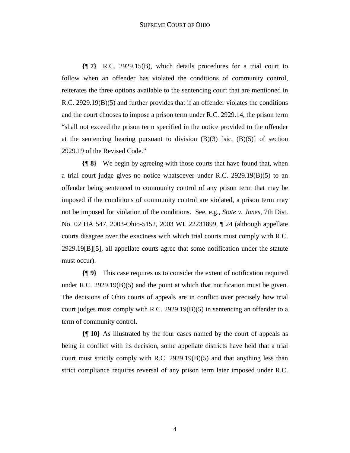**{¶ 7}** R.C. 2929.15(B), which details procedures for a trial court to follow when an offender has violated the conditions of community control, reiterates the three options available to the sentencing court that are mentioned in R.C. 2929.19(B)(5) and further provides that if an offender violates the conditions and the court chooses to impose a prison term under R.C. 2929.14, the prison term "shall not exceed the prison term specified in the notice provided to the offender at the sentencing hearing pursuant to division  $(B)(3)$  [sic,  $(B)(5)$ ] of section 2929.19 of the Revised Code."

**{¶ 8}** We begin by agreeing with those courts that have found that, when a trial court judge gives no notice whatsoever under R.C. 2929.19(B)(5) to an offender being sentenced to community control of any prison term that may be imposed if the conditions of community control are violated, a prison term may not be imposed for violation of the conditions. See, e.g., *State v. Jones*, 7th Dist. No. 02 HA 547, 2003-Ohio-5152, 2003 WL 22231899, ¶ 24 (although appellate courts disagree over the exactness with which trial courts must comply with R.C. 2929.19[B][5], all appellate courts agree that some notification under the statute must occur).

**{¶ 9}** This case requires us to consider the extent of notification required under R.C.  $2929.19(B)(5)$  and the point at which that notification must be given. The decisions of Ohio courts of appeals are in conflict over precisely how trial court judges must comply with R.C. 2929.19(B)(5) in sentencing an offender to a term of community control.

**{¶ 10}** As illustrated by the four cases named by the court of appeals as being in conflict with its decision, some appellate districts have held that a trial court must strictly comply with R.C. 2929.19(B)(5) and that anything less than strict compliance requires reversal of any prison term later imposed under R.C.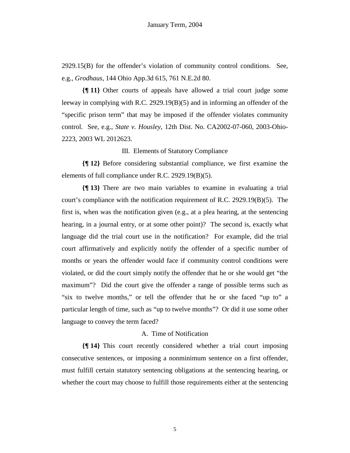2929.15(B) for the offender's violation of community control conditions. See, e.g., *Grodhaus*, 144 Ohio App.3d 615, 761 N.E.2d 80.

**{¶ 11}** Other courts of appeals have allowed a trial court judge some leeway in complying with R.C. 2929.19(B)(5) and in informing an offender of the "specific prison term" that may be imposed if the offender violates community control. See, e.g., *State v. Housley*, 12th Dist. No. CA2002-07-060, 2003-Ohio-2223, 2003 WL 2012623.

III. Elements of Statutory Compliance

**{¶ 12}** Before considering substantial compliance, we first examine the elements of full compliance under R.C. 2929.19(B)(5).

**{¶ 13}** There are two main variables to examine in evaluating a trial court's compliance with the notification requirement of R.C. 2929.19(B)(5). The first is, when was the notification given (e.g., at a plea hearing, at the sentencing hearing, in a journal entry, or at some other point)? The second is, exactly what language did the trial court use in the notification? For example, did the trial court affirmatively and explicitly notify the offender of a specific number of months or years the offender would face if community control conditions were violated, or did the court simply notify the offender that he or she would get "the maximum"? Did the court give the offender a range of possible terms such as "six to twelve months," or tell the offender that he or she faced "up to" a particular length of time, such as "up to twelve months"? Or did it use some other language to convey the term faced?

### A. Time of Notification

**{¶ 14}** This court recently considered whether a trial court imposing consecutive sentences, or imposing a nonminimum sentence on a first offender, must fulfill certain statutory sentencing obligations at the sentencing hearing, or whether the court may choose to fulfill those requirements either at the sentencing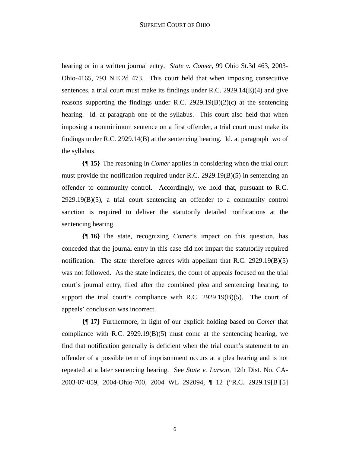hearing or in a written journal entry. *State v. Comer*, 99 Ohio St.3d 463, 2003- Ohio-4165, 793 N.E.2d 473. This court held that when imposing consecutive sentences, a trial court must make its findings under R.C.  $2929.14(E)(4)$  and give reasons supporting the findings under R.C. 2929.19 $(B)(2)(c)$  at the sentencing hearing. Id. at paragraph one of the syllabus. This court also held that when imposing a nonminimum sentence on a first offender, a trial court must make its findings under R.C. 2929.14(B) at the sentencing hearing. Id. at paragraph two of the syllabus.

**{¶ 15}** The reasoning in *Comer* applies in considering when the trial court must provide the notification required under R.C. 2929.19(B)(5) in sentencing an offender to community control. Accordingly, we hold that, pursuant to R.C. 2929.19(B)(5), a trial court sentencing an offender to a community control sanction is required to deliver the statutorily detailed notifications at the sentencing hearing.

**{¶ 16}** The state, recognizing *Comer*'s impact on this question, has conceded that the journal entry in this case did not impart the statutorily required notification. The state therefore agrees with appellant that R.C.  $2929.19(B)(5)$ was not followed. As the state indicates, the court of appeals focused on the trial court's journal entry, filed after the combined plea and sentencing hearing, to support the trial court's compliance with R.C.  $2929.19(B)(5)$ . The court of appeals' conclusion was incorrect.

**{¶ 17}** Furthermore, in light of our explicit holding based on *Comer* that compliance with R.C. 2929.19(B)(5) must come at the sentencing hearing, we find that notification generally is deficient when the trial court's statement to an offender of a possible term of imprisonment occurs at a plea hearing and is not repeated at a later sentencing hearing. See *State v. Larson*, 12th Dist. No. CA-2003-07-059, 2004-Ohio-700, 2004 WL 292094, ¶ 12 ("R.C. 2929.19[B][5]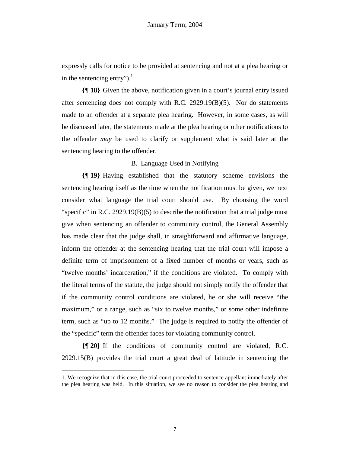expressly calls for notice to be provided at sentencing and not at a plea hearing or in the sentencing entry"). $\frac{1}{1}$ 

**{¶ 18}** Given the above, notification given in a court's journal entry issued after sentencing does not comply with R.C. 2929.19(B)(5). Nor do statements made to an offender at a separate plea hearing. However, in some cases, as will be discussed later, the statements made at the plea hearing or other notifications to the offender *may* be used to clarify or supplement what is said later at the sentencing hearing to the offender.

## B. Language Used in Notifying

**{¶ 19}** Having established that the statutory scheme envisions the sentencing hearing itself as the time when the notification must be given, we next consider what language the trial court should use. By choosing the word "specific" in R.C. 2929.19(B)(5) to describe the notification that a trial judge must give when sentencing an offender to community control, the General Assembly has made clear that the judge shall, in straightforward and affirmative language, inform the offender at the sentencing hearing that the trial court will impose a definite term of imprisonment of a fixed number of months or years, such as "twelve months' incarceration," if the conditions are violated. To comply with the literal terms of the statute, the judge should not simply notify the offender that if the community control conditions are violated, he or she will receive "the maximum," or a range, such as "six to twelve months," or some other indefinite term, such as "up to 12 months." The judge is required to notify the offender of the "specific" term the offender faces for violating community control.

**{¶ 20}** If the conditions of community control are violated, R.C. 2929.15(B) provides the trial court a great deal of latitude in sentencing the

<u>.</u>

<sup>1.</sup> We recognize that in this case, the trial court proceeded to sentence appellant immediately after the plea hearing was held. In this situation, we see no reason to consider the plea hearing and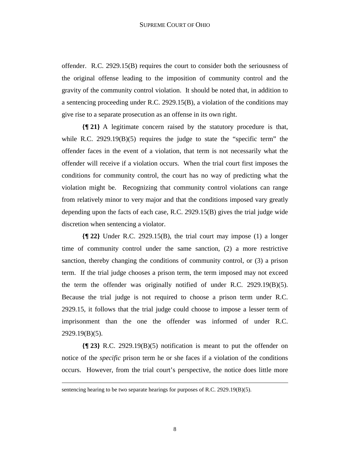offender. R.C. 2929.15(B) requires the court to consider both the seriousness of the original offense leading to the imposition of community control and the gravity of the community control violation. It should be noted that, in addition to a sentencing proceeding under R.C. 2929.15(B), a violation of the conditions may give rise to a separate prosecution as an offense in its own right.

**{¶ 21}** A legitimate concern raised by the statutory procedure is that, while R.C. 2929.19(B)(5) requires the judge to state the "specific term" the offender faces in the event of a violation, that term is not necessarily what the offender will receive if a violation occurs. When the trial court first imposes the conditions for community control, the court has no way of predicting what the violation might be. Recognizing that community control violations can range from relatively minor to very major and that the conditions imposed vary greatly depending upon the facts of each case, R.C. 2929.15(B) gives the trial judge wide discretion when sentencing a violator.

**{¶ 22}** Under R.C. 2929.15(B), the trial court may impose (1) a longer time of community control under the same sanction, (2) a more restrictive sanction, thereby changing the conditions of community control, or (3) a prison term. If the trial judge chooses a prison term, the term imposed may not exceed the term the offender was originally notified of under R.C. 2929.19(B)(5). Because the trial judge is not required to choose a prison term under R.C. 2929.15, it follows that the trial judge could choose to impose a lesser term of imprisonment than the one the offender was informed of under R.C. 2929.19(B)(5).

**{¶ 23}** R.C. 2929.19(B)(5) notification is meant to put the offender on notice of the *specific* prison term he or she faces if a violation of the conditions occurs. However, from the trial court's perspective, the notice does little more

sentencing hearing to be two separate hearings for purposes of R.C. 2929.19(B)(5).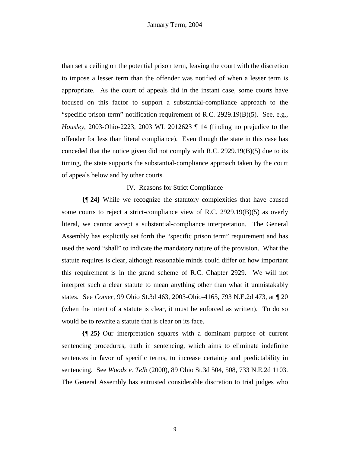than set a ceiling on the potential prison term, leaving the court with the discretion to impose a lesser term than the offender was notified of when a lesser term is appropriate. As the court of appeals did in the instant case, some courts have focused on this factor to support a substantial-compliance approach to the "specific prison term" notification requirement of R.C. 2929.19(B)(5). See, e.g., *Housley*, 2003-Ohio-2223, 2003 WL 2012623 ¶ 14 (finding no prejudice to the offender for less than literal compliance). Even though the state in this case has conceded that the notice given did not comply with R.C. 2929.19(B)(5) due to its timing, the state supports the substantial-compliance approach taken by the court of appeals below and by other courts.

# IV. Reasons for Strict Compliance

**{¶ 24}** While we recognize the statutory complexities that have caused some courts to reject a strict-compliance view of R.C. 2929.19(B)(5) as overly literal, we cannot accept a substantial-compliance interpretation. The General Assembly has explicitly set forth the "specific prison term" requirement and has used the word "shall" to indicate the mandatory nature of the provision. What the statute requires is clear, although reasonable minds could differ on how important this requirement is in the grand scheme of R.C. Chapter 2929. We will not interpret such a clear statute to mean anything other than what it unmistakably states. See *Comer*, 99 Ohio St.3d 463, 2003-Ohio-4165, 793 N.E.2d 473, at ¶ 20 (when the intent of a statute is clear, it must be enforced as written). To do so would be to rewrite a statute that is clear on its face.

**{¶ 25}** Our interpretation squares with a dominant purpose of current sentencing procedures, truth in sentencing, which aims to eliminate indefinite sentences in favor of specific terms, to increase certainty and predictability in sentencing. See *Woods v. Telb* (2000), 89 Ohio St.3d 504, 508, 733 N.E.2d 1103. The General Assembly has entrusted considerable discretion to trial judges who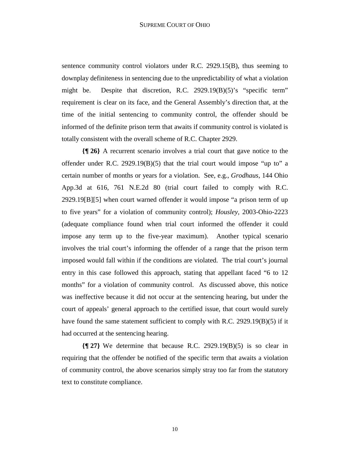sentence community control violators under R.C. 2929.15(B), thus seeming to downplay definiteness in sentencing due to the unpredictability of what a violation might be. Despite that discretion, R.C. 2929.19(B)(5)'s "specific term" requirement is clear on its face, and the General Assembly's direction that, at the time of the initial sentencing to community control, the offender should be informed of the definite prison term that awaits if community control is violated is totally consistent with the overall scheme of R.C. Chapter 2929.

**{¶ 26}** A recurrent scenario involves a trial court that gave notice to the offender under R.C. 2929.19 $(B)(5)$  that the trial court would impose "up to" a certain number of months or years for a violation. See, e.g., *Grodhaus*, 144 Ohio App.3d at 616, 761 N.E.2d 80 (trial court failed to comply with R.C. 2929.19[B][5] when court warned offender it would impose "a prison term of up to five years" for a violation of community control); *Housley,* 2003-Ohio-2223 (adequate compliance found when trial court informed the offender it could impose any term up to the five-year maximum). Another typical scenario involves the trial court's informing the offender of a range that the prison term imposed would fall within if the conditions are violated. The trial court's journal entry in this case followed this approach, stating that appellant faced "6 to 12 months" for a violation of community control. As discussed above, this notice was ineffective because it did not occur at the sentencing hearing, but under the court of appeals' general approach to the certified issue, that court would surely have found the same statement sufficient to comply with R.C. 2929.19(B)(5) if it had occurred at the sentencing hearing.

**{¶ 27}** We determine that because R.C. 2929.19(B)(5) is so clear in requiring that the offender be notified of the specific term that awaits a violation of community control, the above scenarios simply stray too far from the statutory text to constitute compliance.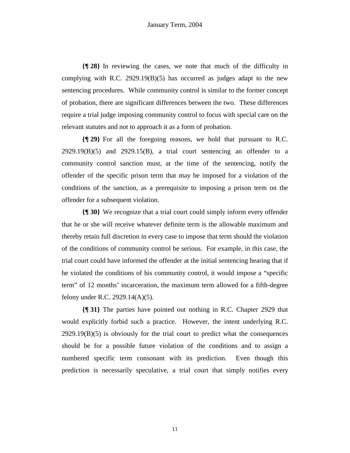**{¶ 28}** In reviewing the cases, we note that much of the difficulty in complying with R.C. 2929.19 $(B)(5)$  has occurred as judges adapt to the new sentencing procedures. While community control is similar to the former concept of probation, there are significant differences between the two. These differences require a trial judge imposing community control to focus with special care on the relevant statutes and not to approach it as a form of probation.

**{¶ 29}** For all the foregoing reasons, we hold that pursuant to R.C.  $2929.19(B)(5)$  and  $2929.15(B)$ , a trial court sentencing an offender to a community control sanction must, at the time of the sentencing, notify the offender of the specific prison term that may be imposed for a violation of the conditions of the sanction, as a prerequisite to imposing a prison term on the offender for a subsequent violation.

**{¶ 30}** We recognize that a trial court could simply inform every offender that he or she will receive whatever definite term is the allowable maximum and thereby retain full discretion in every case to impose that term should the violation of the conditions of community control be serious. For example, in this case, the trial court could have informed the offender at the initial sentencing hearing that if he violated the conditions of his community control, it would impose a "specific term" of 12 months' incarceration, the maximum term allowed for a fifth-degree felony under R.C. 2929.14(A)(5).

**{¶ 31}** The parties have pointed out nothing in R.C. Chapter 2929 that would explicitly forbid such a practice. However, the intent underlying R.C.  $2929.19(B)(5)$  is obviously for the trial court to predict what the consequences should be for a possible future violation of the conditions and to assign a numbered specific term consonant with its prediction. Even though this prediction is necessarily speculative, a trial court that simply notifies every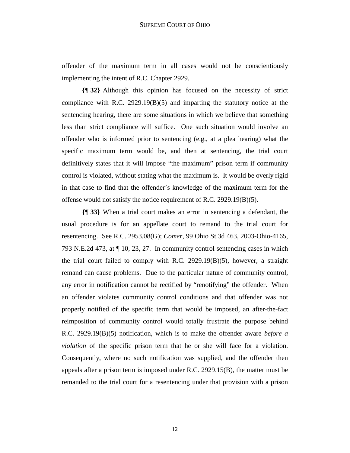offender of the maximum term in all cases would not be conscientiously implementing the intent of R.C. Chapter 2929.

**{¶ 32}** Although this opinion has focused on the necessity of strict compliance with R.C. 2929.19(B)(5) and imparting the statutory notice at the sentencing hearing, there are some situations in which we believe that something less than strict compliance will suffice. One such situation would involve an offender who is informed prior to sentencing (e.g., at a plea hearing) what the specific maximum term would be, and then at sentencing, the trial court definitively states that it will impose "the maximum" prison term if community control is violated, without stating what the maximum is. It would be overly rigid in that case to find that the offender's knowledge of the maximum term for the offense would not satisfy the notice requirement of R.C. 2929.19(B)(5).

**{¶ 33}** When a trial court makes an error in sentencing a defendant, the usual procedure is for an appellate court to remand to the trial court for resentencing. See R.C. 2953.08(G); *Comer*, 99 Ohio St.3d 463, 2003-Ohio-4165, 793 N.E.2d 473, at ¶ 10, 23, 27. In community control sentencing cases in which the trial court failed to comply with R.C. 2929.19 $(B)(5)$ , however, a straight remand can cause problems. Due to the particular nature of community control, any error in notification cannot be rectified by "renotifying" the offender. When an offender violates community control conditions and that offender was not properly notified of the specific term that would be imposed, an after-the-fact reimposition of community control would totally frustrate the purpose behind R.C. 2929.19(B)(5) notification, which is to make the offender aware *before a violation* of the specific prison term that he or she will face for a violation. Consequently, where no such notification was supplied, and the offender then appeals after a prison term is imposed under R.C. 2929.15(B), the matter must be remanded to the trial court for a resentencing under that provision with a prison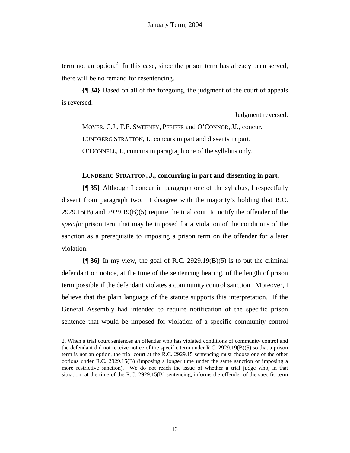term not an option.<sup>2</sup> In this case, since the prison term has already been served, there will be no remand for resentencing.

**{¶ 34}** Based on all of the foregoing, the judgment of the court of appeals is reversed.

Judgment reversed.

 MOYER, C.J., F.E. SWEENEY, PFEIFER and O'CONNOR, JJ., concur. LUNDBERG STRATTON, J., concurs in part and dissents in part. O'DONNELL, J., concurs in paragraph one of the syllabus only.

### **LUNDBERG STRATTON, J., concurring in part and dissenting in part.**

\_\_\_\_\_\_\_\_\_\_\_\_\_\_\_\_\_\_

**{¶ 35}** Although I concur in paragraph one of the syllabus, I respectfully dissent from paragraph two. I disagree with the majority's holding that R.C. 2929.15(B) and 2929.19(B)(5) require the trial court to notify the offender of the *specific* prison term that may be imposed for a violation of the conditions of the sanction as a prerequisite to imposing a prison term on the offender for a later violation.

**{¶ 36}** In my view, the goal of R.C. 2929.19(B)(5) is to put the criminal defendant on notice, at the time of the sentencing hearing, of the length of prison term possible if the defendant violates a community control sanction. Moreover, I believe that the plain language of the statute supports this interpretation. If the General Assembly had intended to require notification of the specific prison sentence that would be imposed for violation of a specific community control

<sup>2.</sup> When a trial court sentences an offender who has violated conditions of community control and the defendant did not receive notice of the specific term under R.C. 2929.19(B)(5) so that a prison term is not an option, the trial court at the R.C. 2929.15 sentencing must choose one of the other options under R.C. 2929.15(B) (imposing a longer time under the same sanction or imposing a more restrictive sanction). We do not reach the issue of whether a trial judge who, in that situation, at the time of the R.C. 2929.15(B) sentencing, informs the offender of the specific term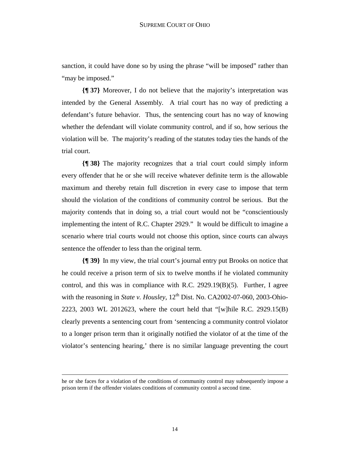sanction, it could have done so by using the phrase "will be imposed" rather than "may be imposed."

**{¶ 37}** Moreover, I do not believe that the majority's interpretation was intended by the General Assembly. A trial court has no way of predicting a defendant's future behavior. Thus, the sentencing court has no way of knowing whether the defendant will violate community control, and if so, how serious the violation will be. The majority's reading of the statutes today ties the hands of the trial court.

**{¶ 38}** The majority recognizes that a trial court could simply inform every offender that he or she will receive whatever definite term is the allowable maximum and thereby retain full discretion in every case to impose that term should the violation of the conditions of community control be serious. But the majority contends that in doing so, a trial court would not be "conscientiously implementing the intent of R.C. Chapter 2929." It would be difficult to imagine a scenario where trial courts would not choose this option, since courts can always sentence the offender to less than the original term.

**{¶ 39}** In my view, the trial court's journal entry put Brooks on notice that he could receive a prison term of six to twelve months if he violated community control, and this was in compliance with R.C. 2929.19(B)(5). Further, I agree with the reasoning in *State v. Housley*,  $12^{th}$  Dist. No. CA2002-07-060, 2003-Ohio-2223, 2003 WL 2012623, where the court held that "[w]hile R.C. 2929.15(B) clearly prevents a sentencing court from 'sentencing a community control violator to a longer prison term than it originally notified the violator of at the time of the violator's sentencing hearing,' there is no similar language preventing the court

he or she faces for a violation of the conditions of community control may subsequently impose a prison term if the offender violates conditions of community control a second time.